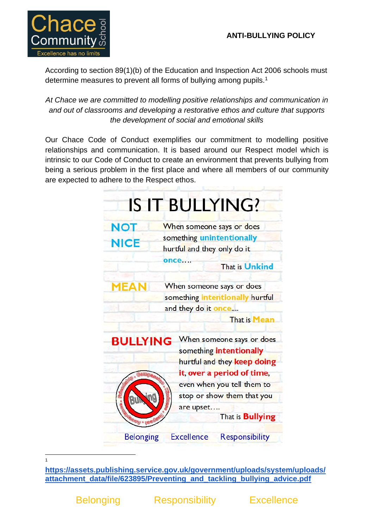# **ANTI-BULLYING POLICY**



According to section 89(1)(b) of the Education and Inspection Act 2006 schools must determine measures to prevent all forms of bullying among pupils.<sup>1</sup>

*At Chace we are committed to modelling positive relationships and communication in and out of classrooms and developing a restorative ethos and culture that supports the development of social and emotional skills*

Our Chace Code of Conduct exemplifies our commitment to modelling positive relationships and communication. It is based around our Respect model which is intrinsic to our Code of Conduct to create an environment that prevents bullying from being a serious problem in the first place and where all members of our community are expected to adhere to the Respect ethos.



1

**[https://assets.publishing.service.gov.uk/government/uploads/system/uploads/](https://assets.publishing.service.gov.uk/government/uploads/system/uploads/attachment_data/file/623895/Preventing_and_tackling_bullying_advice.pdf) [attachment\\_data/file/623895/Preventing\\_and\\_tackling\\_bullying\\_advice.pdf](https://assets.publishing.service.gov.uk/government/uploads/system/uploads/attachment_data/file/623895/Preventing_and_tackling_bullying_advice.pdf)**

Belonging Responsibility Excellence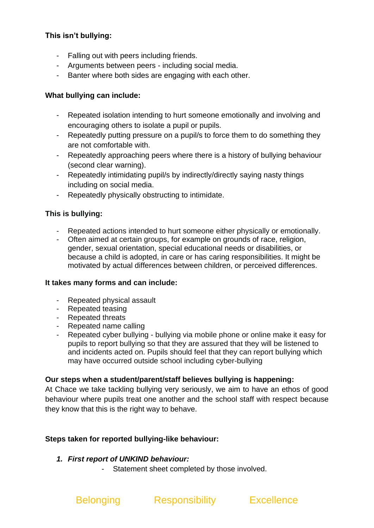## **This isn't bullying:**

- Falling out with peers including friends.
- Arguments between peers including social media.
- Banter where both sides are engaging with each other.

#### **What bullying can include:**

- Repeated isolation intending to hurt someone emotionally and involving and encouraging others to isolate a pupil or pupils.
- Repeatedly putting pressure on a pupil/s to force them to do something they are not comfortable with.
- Repeatedly approaching peers where there is a history of bullying behaviour (second clear warning).
- Repeatedly intimidating pupil/s by indirectly/directly saying nasty things including on social media.
- Repeatedly physically obstructing to intimidate.

#### **This is bullying:**

- Repeated actions intended to hurt someone either physically or emotionally.
- Often aimed at certain groups, for example on grounds of race, religion, gender, sexual orientation, special educational needs or disabilities, or because a child is adopted, in care or has caring responsibilities. It might be motivated by actual differences between children, or perceived differences.

#### **It takes many forms and can include:**

- Repeated physical assault
- Repeated teasing
- Repeated threats
- Repeated name calling
- Repeated cyber bullying bullying via mobile phone or online make it easy for pupils to report bullying so that they are assured that they will be listened to and incidents acted on. Pupils should feel that they can report bullying which may have occurred outside school including cyber-bullying

#### **Our steps when a student/parent/staff believes bullying is happening:**

At Chace we take tackling bullying very seriously, we aim to have an ethos of good behaviour where pupils treat one another and the school staff with respect because they know that this is the right way to behave.

#### **Steps taken for reported bullying-like behaviour:**

#### *1. First report of UNKIND behaviour:*

- Statement sheet completed by those involved.

# Belonging Responsibility Excellence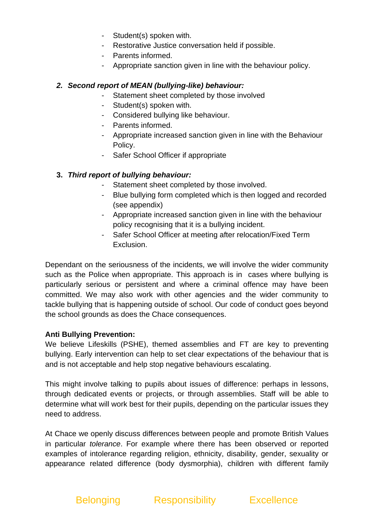- Student(s) spoken with.
- Restorative Justice conversation held if possible.
- Parents informed.
- Appropriate sanction given in line with the behaviour policy.

#### *2. Second report of MEAN (bullying-like) behaviour:*

- Statement sheet completed by those involved
- Student(s) spoken with.
- Considered bullying like behaviour.
- Parents informed.
- Appropriate increased sanction given in line with the Behaviour Policy.
- Safer School Officer if appropriate

#### **3.** *Third report of bullying behaviour:*

- Statement sheet completed by those involved.
- Blue bullying form completed which is then logged and recorded (see appendix)
- Appropriate increased sanction given in line with the behaviour policy recognising that it is a bullying incident.
- Safer School Officer at meeting after relocation/Fixed Term Exclusion.

Dependant on the seriousness of the incidents, we will involve the wider community such as the Police when appropriate. This approach is in cases where bullying is particularly serious or persistent and where a criminal offence may have been committed. We may also work with other agencies and the wider community to tackle bullying that is happening outside of school. Our code of conduct goes beyond the school grounds as does the Chace consequences.

#### **Anti Bullying Prevention:**

We believe Lifeskills (PSHE), themed assemblies and FT are key to preventing bullying. Early intervention can help to set clear expectations of the behaviour that is and is not acceptable and help stop negative behaviours escalating.

This might involve talking to pupils about issues of difference: perhaps in lessons, through dedicated events or projects, or through assemblies. Staff will be able to determine what will work best for their pupils, depending on the particular issues they need to address.

At Chace we openly discuss differences between people and promote British Values in particular *tolerance*. For example where there has been observed or reported examples of intolerance regarding religion, ethnicity, disability, gender, sexuality or appearance related difference (body dysmorphia), children with different family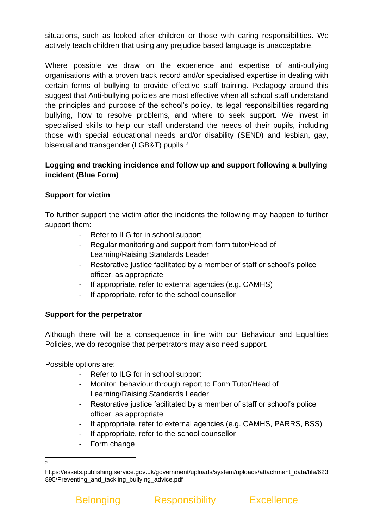situations, such as looked after children or those with caring responsibilities. We actively teach children that using any prejudice based language is unacceptable.

Where possible we draw on the experience and expertise of anti-bullying organisations with a proven track record and/or specialised expertise in dealing with certain forms of bullying to provide effective staff training. Pedagogy around this suggest that Anti-bullying policies are most effective when all school staff understand the principles and purpose of the school's policy, its legal responsibilities regarding bullying, how to resolve problems, and where to seek support. We invest in specialised skills to help our staff understand the needs of their pupils, including those with special educational needs and/or disability (SEND) and lesbian, gay, bisexual and transgender (LGB&T) pupils <sup>2</sup>

## **Logging and tracking incidence and follow up and support following a bullying incident (Blue Form)**

# **Support for victim**

To further support the victim after the incidents the following may happen to further support them:

- Refer to ILG for in school support
- Regular monitoring and support from form tutor/Head of Learning/Raising Standards Leader
- Restorative justice facilitated by a member of staff or school's police officer, as appropriate
- If appropriate, refer to external agencies (e.g. CAMHS)
- If appropriate, refer to the school counsellor

### **Support for the perpetrator**

Although there will be a consequence in line with our Behaviour and Equalities Policies, we do recognise that perpetrators may also need support.

Possible options are:

- Refer to ILG for in school support
- Monitor behaviour through report to Form Tutor/Head of Learning/Raising Standards Leader
- Restorative justice facilitated by a member of staff or school's police officer, as appropriate
- If appropriate, refer to external agencies (e.g. CAMHS, PARRS, BSS)
- If appropriate, refer to the school counsellor
- Form change



<sup>2</sup>

https://assets.publishing.service.gov.uk/government/uploads/system/uploads/attachment\_data/file/623 895/Preventing\_and\_tackling\_bullying\_advice.pdf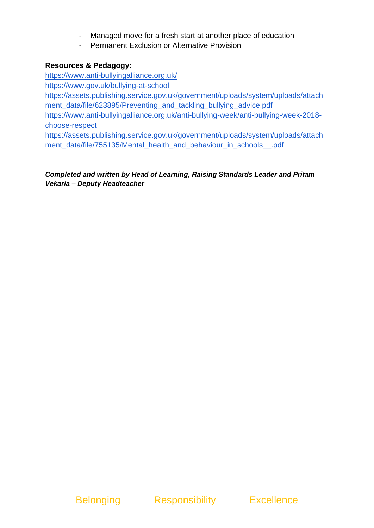- Managed move for a fresh start at another place of education
- Permanent Exclusion or Alternative Provision

### **Resources & Pedagogy:**

<https://www.anti-bullyingalliance.org.uk/> <https://www.gov.uk/bullying-at-school> [https://assets.publishing.service.gov.uk/government/uploads/system/uploads/attach](https://assets.publishing.service.gov.uk/government/uploads/system/uploads/attachment_data/file/623895/Preventing_and_tackling_bullying_advice.pdf) [ment\\_data/file/623895/Preventing\\_and\\_tackling\\_bullying\\_advice.pdf](https://assets.publishing.service.gov.uk/government/uploads/system/uploads/attachment_data/file/623895/Preventing_and_tackling_bullying_advice.pdf) [https://www.anti-bullyingalliance.org.uk/anti-bullying-week/anti-bullying-week-2018](https://www.anti-bullyingalliance.org.uk/anti-bullying-week/anti-bullying-week-2018-choose-respect) [choose-respect](https://www.anti-bullyingalliance.org.uk/anti-bullying-week/anti-bullying-week-2018-choose-respect)

[https://assets.publishing.service.gov.uk/government/uploads/system/uploads/attach](https://assets.publishing.service.gov.uk/government/uploads/system/uploads/attachment_data/file/755135/Mental_health_and_behaviour_in_schools__.pdf) [ment\\_data/file/755135/Mental\\_health\\_and\\_behaviour\\_in\\_schools\\_\\_.pdf](https://assets.publishing.service.gov.uk/government/uploads/system/uploads/attachment_data/file/755135/Mental_health_and_behaviour_in_schools__.pdf)

*Completed and written by Head of Learning, Raising Standards Leader and Pritam Vekaria – Deputy Headteacher*

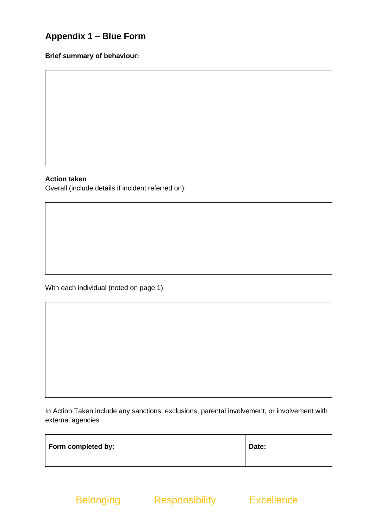# **Appendix 1 – Blue Form**

#### **Brief summary of behaviour:**

#### **Action taken**

Overall (include details if incident referred on):

With each individual (noted on page 1)

In Action Taken include any sanctions, exclusions, parental involvement, or involvement with external agencies

| Form completed by: | Date: |
|--------------------|-------|
|                    |       |

Belonging Responsibility Excellence